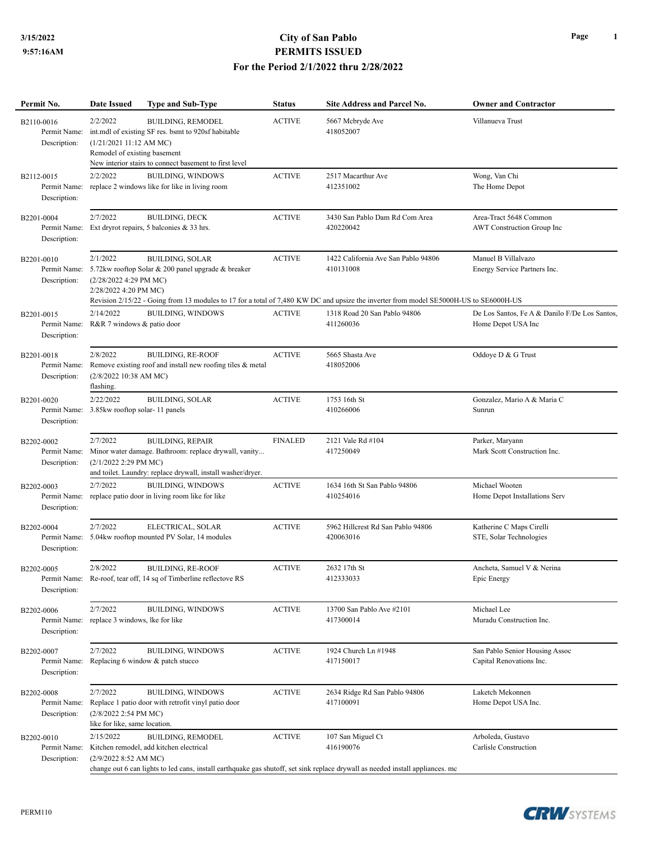## **3/15/2022 City of San Pablo PERMITS ISSUED For the Period 2/1/2022 thru 2/28/2022**

| Permit No.                                 | Date Issued                                                        | <b>Type and Sub-Type</b>                                                                                                                        | <b>Status</b>  | <b>Site Address and Parcel No.</b>                                                                                                                                                        | <b>Owner and Contractor</b>                                         |
|--------------------------------------------|--------------------------------------------------------------------|-------------------------------------------------------------------------------------------------------------------------------------------------|----------------|-------------------------------------------------------------------------------------------------------------------------------------------------------------------------------------------|---------------------------------------------------------------------|
| B2110-0016<br>Permit Name:<br>Description: | 2/2/2022<br>(1/21/202111:12 AMMC)<br>Remodel of existing basement  | <b>BUILDING, REMODEL</b><br>int.mdl of existing SF res. bsmt to 920sf habitable<br>New interior stairs to connect basement to first level       | <b>ACTIVE</b>  | 5667 Mcbryde Ave<br>418052007                                                                                                                                                             | Villanueva Trust                                                    |
| B2112-0015<br>Permit Name:<br>Description: | 2/2/2022                                                           | <b>BUILDING, WINDOWS</b><br>replace 2 windows like for like in living room                                                                      | <b>ACTIVE</b>  | 2517 Macarthur Ave<br>412351002                                                                                                                                                           | Wong, Van Chi<br>The Home Depot                                     |
| B2201-0004<br>Permit Name:<br>Description: | 2/7/2022                                                           | <b>BUILDING, DECK</b><br>Ext dryrot repairs, 5 balconies & 33 hrs.                                                                              | <b>ACTIVE</b>  | 3430 San Pablo Dam Rd Com Area<br>420220042                                                                                                                                               | Area-Tract 5648 Common<br>AWT Construction Group Inc                |
| B2201-0010<br>Permit Name:<br>Description: | 2/1/2022<br>(2/28/2022 4:29 PM MC)<br>2/28/2022 4:20 PM MC)        | <b>BUILDING, SOLAR</b><br>5.72kw rooftop Solar & 200 panel upgrade & breaker                                                                    | <b>ACTIVE</b>  | 1422 California Ave San Pablo 94806<br>410131008<br>Revision 2/15/22 - Going from 13 modules to 17 for a total of 7,480 KW DC and upsize the inverter from model SE5000H-US to SE6000H-US | Manuel B Villalvazo<br>Energy Service Partners Inc.                 |
| B2201-0015<br>Permit Name:<br>Description: | 2/14/2022<br>R&R 7 windows & patio door                            | <b>BUILDING, WINDOWS</b>                                                                                                                        | <b>ACTIVE</b>  | 1318 Road 20 San Pablo 94806<br>411260036                                                                                                                                                 | De Los Santos, Fe A & Danilo F/De Los Santos,<br>Home Depot USA Inc |
| B2201-0018<br>Permit Name:<br>Description: | 2/8/2022<br>(2/8/2022 10:38 AM MC)<br>flashing.                    | <b>BUILDING, RE-ROOF</b><br>Remove existing roof and install new roofing tiles & metal                                                          | <b>ACTIVE</b>  | 5665 Shasta Ave<br>418052006                                                                                                                                                              | Oddoye D & G Trust                                                  |
| B2201-0020<br>Permit Name:<br>Description: | 2/22/2022<br>3.85kw rooftop solar-11 panels                        | <b>BUILDING, SOLAR</b>                                                                                                                          | <b>ACTIVE</b>  | 1753 16th St<br>410266006                                                                                                                                                                 | Gonzalez, Mario A & Maria C<br>Sunrun                               |
| B2202-0002<br>Permit Name:<br>Description: | 2/7/2022<br>(2/1/2022 2:29 PM MC)                                  | <b>BUILDING, REPAIR</b><br>Minor water damage. Bathroom: replace drywall, vanity<br>and toilet. Laundry: replace drywall, install washer/dryer. | <b>FINALED</b> | 2121 Vale Rd #104<br>417250049                                                                                                                                                            | Parker, Maryann<br>Mark Scott Construction Inc.                     |
| B2202-0003<br>Permit Name:<br>Description: | 2/7/2022                                                           | <b>BUILDING, WINDOWS</b><br>replace patio door in living room like for like                                                                     | <b>ACTIVE</b>  | 1634 16th St San Pablo 94806<br>410254016                                                                                                                                                 | Michael Wooten<br>Home Depot Installations Serv                     |
| B2202-0004<br>Permit Name:<br>Description: | 2/7/2022                                                           | ELECTRICAL, SOLAR<br>5.04kw rooftop mounted PV Solar, 14 modules                                                                                | <b>ACTIVE</b>  | 5962 Hillcrest Rd San Pablo 94806<br>420063016                                                                                                                                            | Katherine C Maps Cirelli<br>STE, Solar Technologies                 |
| B2202-0005<br>Permit Name:<br>Description: | 2/8/2022                                                           | <b>BUILDING, RE-ROOF</b><br>Re-roof, tear off, 14 sq of Timberline reflectove RS                                                                | <b>ACTIVE</b>  | 2632 17th St<br>412333033                                                                                                                                                                 | Ancheta, Samuel V & Nerina<br>Epic Energy                           |
| B2202-0006<br>Permit Name:<br>Description: | 2/7/2022<br>replace 3 windows, lke for like                        | BUILDING, WINDOWS                                                                                                                               | <b>ACTIVE</b>  | 13700 San Pablo Ave #2101<br>417300014                                                                                                                                                    | Michael Lee<br>Muradu Construction Inc.                             |
| B2202-0007<br>Permit Name:<br>Description: | 2/7/2022                                                           | <b>BUILDING, WINDOWS</b><br>Replacing 6 window & patch stucco                                                                                   | <b>ACTIVE</b>  | 1924 Church Ln #1948<br>417150017                                                                                                                                                         | San Pablo Senior Housing Assoc<br>Capital Renovations Inc.          |
| B2202-0008<br>Permit Name:<br>Description: | 2/7/2022<br>(2/8/2022 2:54 PM MC)<br>like for like, same location. | <b>BUILDING, WINDOWS</b><br>Replace 1 patio door with retrofit vinyl patio door                                                                 | <b>ACTIVE</b>  | 2634 Ridge Rd San Pablo 94806<br>417100091                                                                                                                                                | Laketch Mekonnen<br>Home Depot USA Inc.                             |
| B2202-0010<br>Permit Name:<br>Description: | 2/15/2022<br>(2/9/2022 8:52 AM MC)                                 | <b>BUILDING, REMODEL</b><br>Kitchen remodel, add kitchen electrical                                                                             | <b>ACTIVE</b>  | 107 San Miguel Ct<br>416190076<br>change out 6 can lights to led cans, install earthquake gas shutoff, set sink replace drywall as needed install appliances. me                          | Arboleda, Gustavo<br>Carlisle Construction                          |

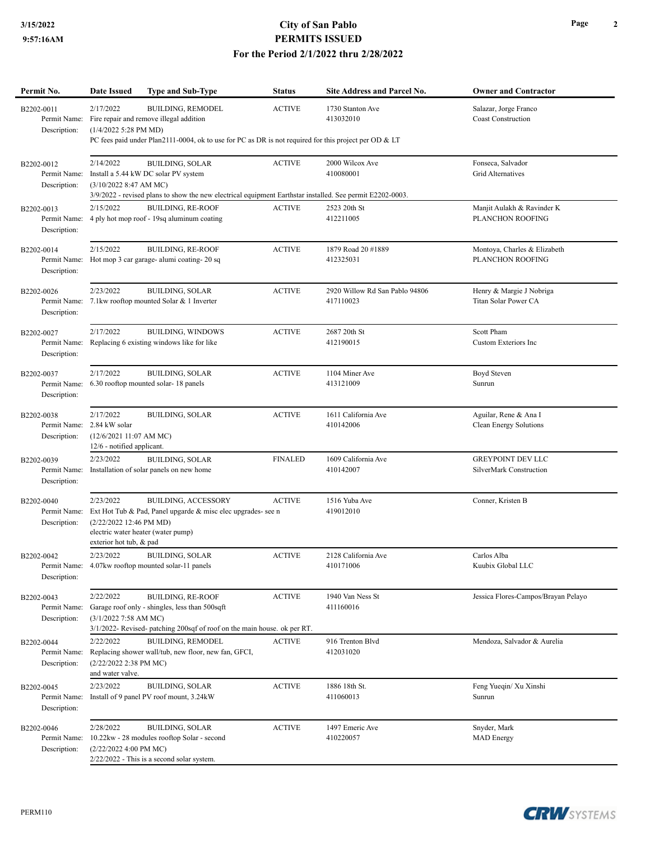## **3/15/2022 City of San Pablo PERMITS ISSUED For the Period 2/1/2022 thru 2/28/2022**

| Permit No.                                 | <b>Date Issued</b>                                                                                                                                                                                                                                                                                                  | Type and Sub-Type                                                                                                                                                           | <b>Status</b>  | <b>Site Address and Parcel No.</b>          | <b>Owner and Contractor</b>                         |  |  |
|--------------------------------------------|---------------------------------------------------------------------------------------------------------------------------------------------------------------------------------------------------------------------------------------------------------------------------------------------------------------------|-----------------------------------------------------------------------------------------------------------------------------------------------------------------------------|----------------|---------------------------------------------|-----------------------------------------------------|--|--|
| B2202-0011<br>Permit Name:<br>Description: | <b>BUILDING, REMODEL</b><br>2/17/2022<br><b>ACTIVE</b><br>1730 Stanton Ave<br>Salazar, Jorge Franco<br>Coast Construction<br>Fire repair and remove illegal addition<br>413032010<br>(1/4/2022 5:28 PM MD)<br>PC fees paid under Plan2111-0004, ok to use for PC as DR is not required for this project per OD & LT |                                                                                                                                                                             |                |                                             |                                                     |  |  |
| B2202-0012<br>Permit Name:<br>Description: | 2/14/2022<br>(3/10/2022 8:47 AM MC)                                                                                                                                                                                                                                                                                 | <b>BUILDING, SOLAR</b><br>Install a 5.44 kW DC solar PV system<br>3/9/2022 - revised plans to show the new electrical equipment Earthstar installed. See permit E2202-0003. | <b>ACTIVE</b>  | 2000 Wilcox Ave<br>410080001                | Fonseca, Salvador<br>Grid Alternatives              |  |  |
| B2202-0013<br>Permit Name:<br>Description: | 2/15/2022                                                                                                                                                                                                                                                                                                           | <b>BUILDING, RE-ROOF</b><br>4 ply hot mop roof - 19sq aluminum coating                                                                                                      | <b>ACTIVE</b>  | 2523 20th St<br>412211005                   | Manjit Aulakh & Ravinder K<br>PLANCHON ROOFING      |  |  |
| B2202-0014<br>Description:                 | 2/15/2022                                                                                                                                                                                                                                                                                                           | <b>BUILDING, RE-ROOF</b><br>Permit Name: Hot mop 3 car garage- alumi coating-20 sq                                                                                          | <b>ACTIVE</b>  | 1879 Road 20 #1889<br>412325031             | Montoya, Charles & Elizabeth<br>PLANCHON ROOFING    |  |  |
| B2202-0026<br>Permit Name:<br>Description: | 2/23/2022                                                                                                                                                                                                                                                                                                           | <b>BUILDING, SOLAR</b><br>7.1kw rooftop mounted Solar & 1 Inverter                                                                                                          | <b>ACTIVE</b>  | 2920 Willow Rd San Pablo 94806<br>417110023 | Henry & Margie J Nobriga<br>Titan Solar Power CA    |  |  |
| B2202-0027<br>Permit Name:<br>Description: | 2/17/2022                                                                                                                                                                                                                                                                                                           | <b>BUILDING, WINDOWS</b><br>Replacing 6 existing windows like for like                                                                                                      | <b>ACTIVE</b>  | 2687 20th St<br>412190015                   | <b>Scott Pham</b><br><b>Custom Exteriors Inc</b>    |  |  |
| B2202-0037<br>Permit Name:<br>Description: | 2/17/2022                                                                                                                                                                                                                                                                                                           | <b>BUILDING, SOLAR</b><br>6.30 rooftop mounted solar-18 panels                                                                                                              | <b>ACTIVE</b>  | 1104 Miner Ave<br>413121009                 | Boyd Steven<br>Sunrun                               |  |  |
| B2202-0038<br>Permit Name:<br>Description: | 2/17/2022<br>2.84 kW solar<br>(12/6/202111:07 AM MC)<br>12/6 - notified applicant.                                                                                                                                                                                                                                  | <b>BUILDING, SOLAR</b>                                                                                                                                                      | <b>ACTIVE</b>  | 1611 California Ave<br>410142006            | Aguilar, Rene & Ana I<br>Clean Energy Solutions     |  |  |
| B2202-0039<br>Permit Name:<br>Description: | 2/23/2022                                                                                                                                                                                                                                                                                                           | <b>BUILDING, SOLAR</b><br>Installation of solar panels on new home                                                                                                          | <b>FINALED</b> | 1609 California Ave<br>410142007            | <b>GREYPOINT DEV LLC</b><br>SilverMark Construction |  |  |
| B2202-0040<br>Permit Name:<br>Description: | 2/23/2022<br>(2/22/2022 12:46 PM MD)<br>electric water heater (water pump)<br>exterior hot tub, & pad                                                                                                                                                                                                               | <b>BUILDING, ACCESSORY</b><br>Ext Hot Tub & Pad, Panel upgarde & misc elec upgrades- see n                                                                                  | <b>ACTIVE</b>  | 1516 Yuba Ave<br>419012010                  | Conner, Kristen B                                   |  |  |
| B2202-0042<br>Description:                 | 2/23/2022                                                                                                                                                                                                                                                                                                           | <b>BUILDING, SOLAR</b><br>Permit Name: 4.07kw rooftop mounted solar-11 panels                                                                                               | <b>ACTIVE</b>  | 2128 California Ave<br>410171006            | Carlos Alba<br>Kuubix Global LLC                    |  |  |
| B2202-0043<br>Permit Name:<br>Description: | 2/22/2022<br>(3/1/20227:58 AMMC)                                                                                                                                                                                                                                                                                    | <b>BUILDING, RE-ROOF</b><br>Garage roof only - shingles, less than 500sqft<br>3/1/2022- Revised- patching 200sqf of roof on the main house. ok per RT.                      | <b>ACTIVE</b>  | 1940 Van Ness St<br>411160016               | Jessica Flores-Campos/Brayan Pelayo                 |  |  |
| B2202-0044<br>Permit Name:<br>Description: | 2/22/2022<br>(2/22/2022 2:38 PM MC)<br>and water valve.                                                                                                                                                                                                                                                             | <b>BUILDING, REMODEL</b><br>Replacing shower wall/tub, new floor, new fan, GFCI,                                                                                            | <b>ACTIVE</b>  | 916 Trenton Blvd<br>412031020               | Mendoza, Salvador & Aurelia                         |  |  |
| B2202-0045<br>Permit Name:<br>Description: | 2/23/2022                                                                                                                                                                                                                                                                                                           | <b>BUILDING, SOLAR</b><br>Install of 9 panel PV roof mount, 3.24kW                                                                                                          | <b>ACTIVE</b>  | 1886 18th St.<br>411060013                  | Feng Yueqin/ Xu Xinshi<br>Sunrun                    |  |  |
| B2202-0046<br>Permit Name:<br>Description: | 2/28/2022<br>(2/22/2022 4:00 PM MC)                                                                                                                                                                                                                                                                                 | <b>BUILDING, SOLAR</b><br>10.22kw - 28 modules rooftop Solar - second<br>2/22/2022 - This is a second solar system.                                                         | <b>ACTIVE</b>  | 1497 Emeric Ave<br>410220057                | Snyder, Mark<br><b>MAD</b> Energy                   |  |  |